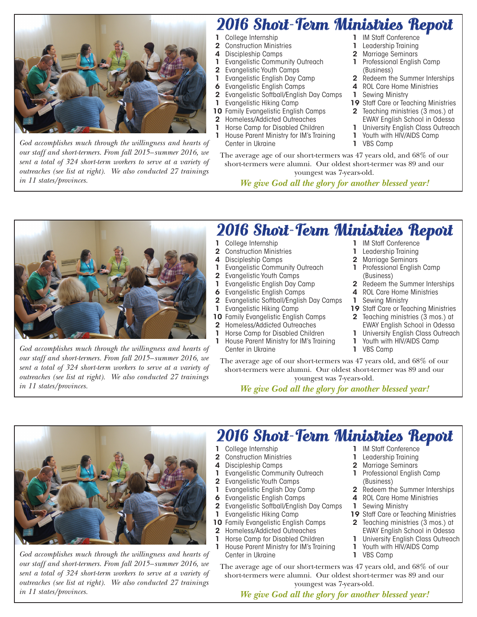

*God accomplishes much through the willingness and hearts of our staff and short-termers. From fall 2015–summer 2016, we sent a total of 324 short-term workers to serve at a variety of outreaches (see list at right). We also conducted 27 trainings in 11 states/provinces.*

## 2016 Short-Term Ministries Report

- College Internship
- 2 Construction Ministries
- Discipleship Camps
- **Evangelistic Community Outreach**
- 2 Evangelistic Youth Camps
- Evangelistic English Day Camp
- 6 Evangelistic English Camps
- 2 Evangelistic Softball/English Day Camps
	- Evangelistic Hiking Camp
- 10 Family Evangelistic English Camps
- 2 Homeless/Addicted Outreaches
- 1 Horse Camp for Disabled Children
- 1 House Parent Ministry for IM's Training Center in Ukraine
- The average age of our short-termers was 47 years old, and 68% of our short-termers were alumni. Our oldest short-termer was 89 and our youngest was 7-years-old.

*We give God all the glory for another blessed year!*

- 1 IM Staff Conference
- Leadership Training
- 2 Marrigge Seminars
- Professional English Camp (Business)
- 2 Redeem the Summer Interships
- 4 ROL Care Home Ministries
- **Sewing Ministry**
- 19 Staff Care or Teaching Ministries
- 2 Teaching ministries (3 mos.) at EWAY English School in Odessa
- University English Class Outreach
- Youth with HIV/AIDS Camp
- VBS Camp